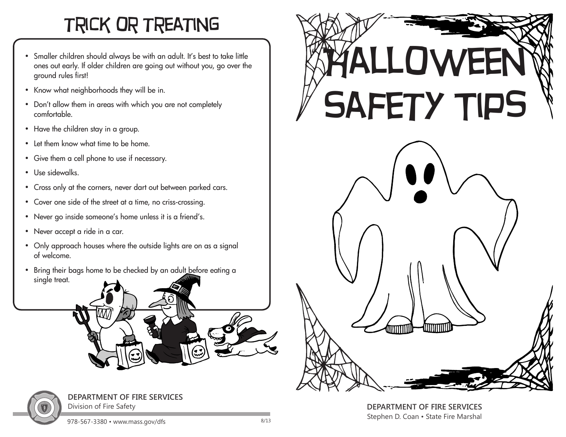## trick or treating

- Smaller children should always be with an adult. It's best to take little ones out early. If older children are going out without you, go over the ground rules first!
- Know what neighborhoods they will be in.
- Don't allow them in areas with which you are not completely comfortable.
- Have the children stay in a group.
- Let them know what time to be home.
- Give them a cell phone to use if necessary.
- Use sidewalks.
- Cross only at the corners, never dart out between parked cars.
- Cover one side of the street at a time, no criss-crossing.
- Never go inside someone's home unless it is a friend's.
- Never accept a ride in a car.
- Only approach houses where the outside lights are on as a signal of welcome.
- Bring their bags home to be checked by an adult before eating a single treat.





**DEPARTMENT OF FIRE SERVICES**  Division of Fire Safety



**DEPARTMENT OF FIRE SERVICES**  Stephen D. Coan • State Fire Marshal